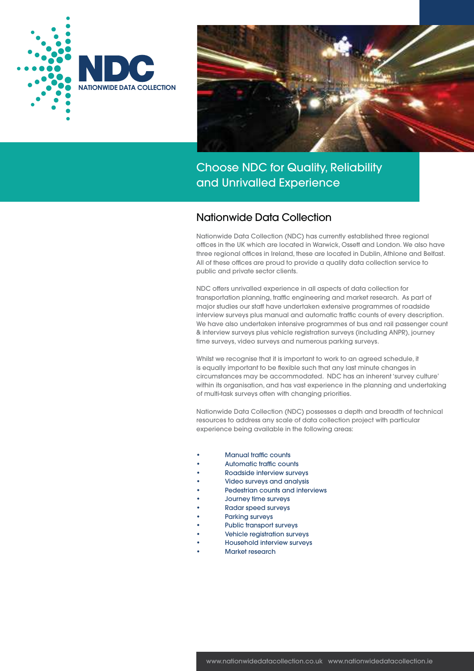



## Nationwide Data Collection

Nationwide Data Collection (NDC) has currently established three regional offices in the UK which are located in Warwick, Ossett and London. We also have three regional offices in Ireland, these are located in Dublin, Athlone and Belfast. All of these offices are proud to provide a quality data collection service to public and private sector clients.

NDC offers unrivalled experience in all aspects of data collection for transportation planning, traffic engineering and market research. As part of major studies our staff have undertaken extensive programmes of roadside interview surveys plus manual and automatic traffic counts of every description. We have also undertaken intensive programmes of bus and rail passenger count & interview surveys plus vehicle registration surveys (including ANPR), journey time surveys, video surveys and numerous parking surveys.

Whilst we recognise that it is important to work to an agreed schedule, it is equally important to be flexible such that any last minute changes in circumstances may be accommodated. NDC has an inherent 'survey culture' within its organisation, and has vast experience in the planning and undertaking of multi-task surveys often with changing priorities.

Nationwide Data Collection (NDC) possesses a depth and breadth of technical resources to address any scale of data collection project with particular experience being available in the following areas:

- Manual traffic counts
- Automatic traffic counts
- Roadside interview surveys
- Video surveys and analysis
- Pedestrian counts and interviews
- Journey time surveys
- Radar speed surveys
- Parking surveys
- Public transport surveys
- Vehicle registration surveys
- Household interview surveys
- Market research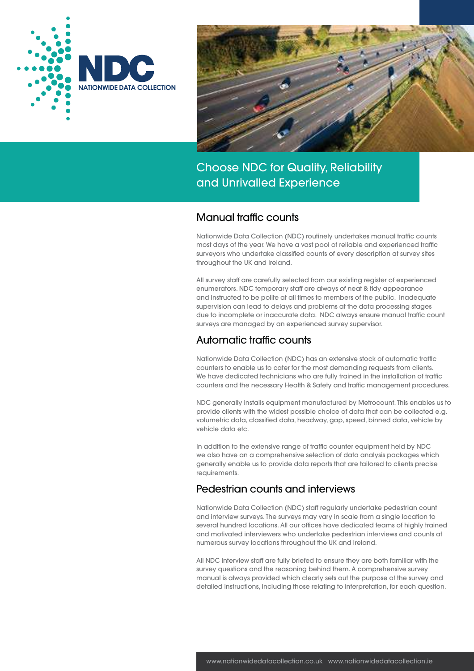



## Manual traffic counts

Nationwide Data Collection (NDC) routinely undertakes manual traffic counts most days of the year. We have a vast pool of reliable and experienced traffic surveyors who undertake classified counts of every description at survey sites throughout the UK and Ireland.

All survey staff are carefully selected from our existing register of experienced enumerators. NDC temporary staff are always of neat & tidy appearance and instructed to be polite at all times to members of the public. Inadequate supervision can lead to delays and problems at the data processing stages due to incomplete or inaccurate data. NDC always ensure manual traffic count surveys are managed by an experienced survey supervisor.

# Automatic traffic counts

Nationwide Data Collection (NDC) has an extensive stock of automatic traffic counters to enable us to cater for the most demanding requests from clients. We have dedicated technicians who are fully trained in the installation of traffic counters and the necessary Health & Safety and traffic management procedures.

NDC generally installs equipment manufactured by Metrocount. This enables us to provide clients with the widest possible choice of data that can be collected e.g. volumetric data, classified data, headway, gap, speed, binned data, vehicle by vehicle data etc.

In addition to the extensive range of traffic counter equipment held by NDC we also have an a comprehensive selection of data analysis packages which generally enable us to provide data reports that are tailored to clients precise requirements.

# Pedestrian counts and interviews

Nationwide Data Collection (NDC) staff regularly undertake pedestrian count and interview surveys. The surveys may vary in scale from a single location to several hundred locations. All our offices have dedicated teams of highly trained and motivated interviewers who undertake pedestrian interviews and counts at numerous survey locations throughout the UK and Ireland.

All NDC interview staff are fully briefed to ensure they are both familiar with the survey questions and the reasoning behind them. A comprehensive survey manual is always provided which clearly sets out the purpose of the survey and detailed instructions, including those relating to interpretation, for each question.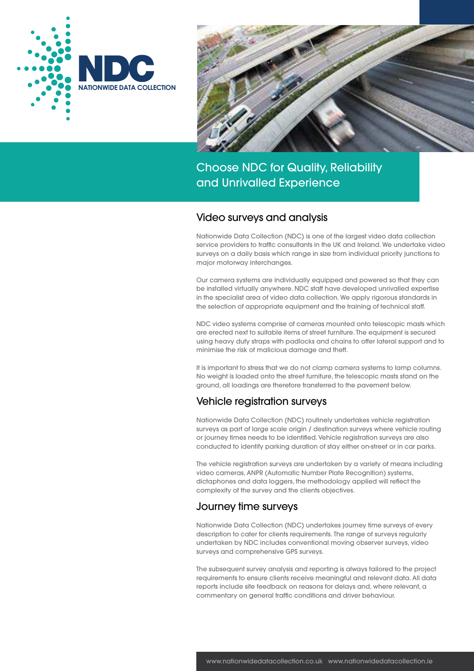



### Video surveys and analysis

Nationwide Data Collection (NDC) is one of the largest video data collection service providers to traffic consultants in the UK and Ireland. We undertake video surveys on a daily basis which range in size from individual priority junctions to major motorway interchanges.

Our camera systems are individually equipped and powered so that they can be installed virtually anywhere. NDC staff have developed unrivalled expertise in the specialist area of video data collection. We apply rigorous standards in the selection of appropriate equipment and the training of technical staff.

NDC video systems comprise of cameras mounted onto telescopic masts which are erected next to suitable items of street furniture. The equipment is secured using heavy duty straps with padlocks and chains to offer lateral support and to minimise the risk of malicious damage and theft.

It is important to stress that we do not clamp camera systems to lamp columns. No weight is loaded onto the street furniture, the telescopic masts stand on the ground, all loadings are therefore transferred to the pavement below.

## Vehicle registration surveys

Nationwide Data Collection (NDC) routinely undertakes vehicle registration surveys as part of large scale origin / destination surveys where vehicle routing or journey times needs to be identified. Vehicle registration surveys are also conducted to identify parking duration of stay either on-street or in car parks.

The vehicle registration surveys are undertaken by a variety of means including video cameras, ANPR (Automatic Number Plate Recognition) systems, dictaphones and data loggers, the methodology applied will reflect the complexity of the survey and the clients objectives.

## Journey time surveys

Nationwide Data Collection (NDC) undertakes journey time surveys of every description to cater for clients requirements. The range of surveys regularly undertaken by NDC includes conventional moving observer surveys, video surveys and comprehensive GPS surveys.

The subsequent survey analysis and reporting is always tailored to the project requirements to ensure clients receive meaningful and relevant data. All data reports include site feedback on reasons for delays and, where relevant, a commentary on general traffic conditions and driver behaviour.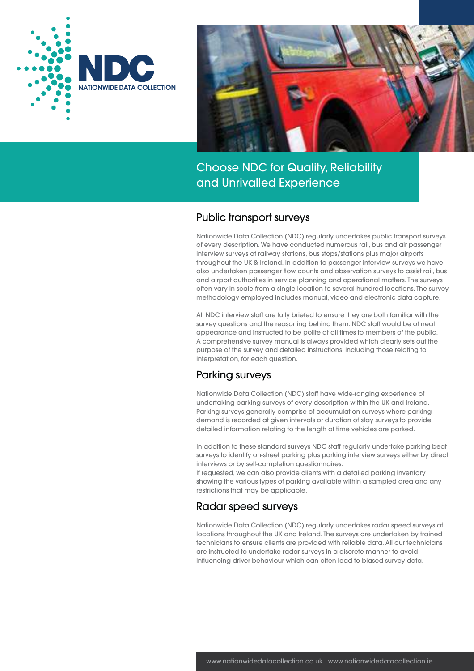



## Public transport surveys

Nationwide Data Collection (NDC) regularly undertakes public transport surveys of every description. We have conducted numerous rail, bus and air passenger interview surveys at railway stations, bus stops/stations plus major airports throughout the UK & Ireland. In addition to passenger interview surveys we have also undertaken passenger flow counts and observation surveys to assist rail, bus and airport authorities in service planning and operational matters. The surveys often vary in scale from a single location to several hundred locations. The survey methodology employed includes manual, video and electronic data capture.

All NDC interview staff are fully briefed to ensure they are both familiar with the survey questions and the reasoning behind them. NDC staff would be of neat appearance and instructed to be polite at all times to members of the public. A comprehensive survey manual is always provided which clearly sets out the purpose of the survey and detailed instructions, including those relating to interpretation, for each question.

# Parking surveys

Nationwide Data Collection (NDC) staff have wide-ranging experience of undertaking parking surveys of every description within the UK and Ireland. Parking surveys generally comprise of accumulation surveys where parking demand is recorded at given intervals or duration of stay surveys to provide detailed information relating to the length of time vehicles are parked.

In addition to these standard surveys NDC staff regularly undertake parking beat surveys to identify on-street parking plus parking interview surveys either by direct interviews or by self-completion questionnaires.

If requested, we can also provide clients with a detailed parking inventory showing the various types of parking available within a sampled area and any restrictions that may be applicable.

# Radar speed surveys

Nationwide Data Collection (NDC) regularly undertakes radar speed surveys at locations throughout the UK and Ireland. The surveys are undertaken by trained technicians to ensure clients are provided with reliable data. All our technicians are instructed to undertake radar surveys in a discrete manner to avoid influencing driver behaviour which can often lead to biased survey data.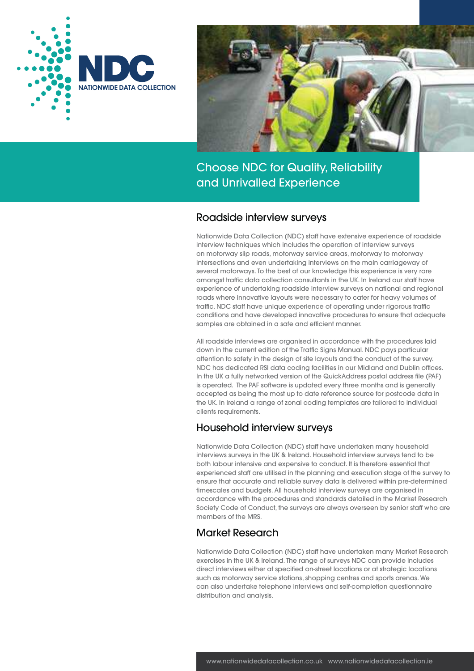



### Roadside interview surveys

Nationwide Data Collection (NDC) staff have extensive experience of roadside interview techniques which includes the operation of interview surveys on motorway slip roads, motorway service areas, motorway to motorway intersections and even undertaking interviews on the main carriageway of several motorways. To the best of our knowledge this experience is very rare amongst traffic data collection consultants in the UK. In Ireland our staff have experience of undertaking roadside interview surveys on national and regional roads where innovative layouts were necessary to cater for heavy volumes of traffic. NDC staff have unique experience of operating under rigorous traffic conditions and have developed innovative procedures to ensure that adequate samples are obtained in a safe and efficient manner.

All roadside interviews are organised in accordance with the procedures laid down in the current edition of the Traffic Signs Manual. NDC pays particular attention to safety in the design of site layouts and the conduct of the survey. NDC has dedicated RSI data coding facilities in our Midland and Dublin offices. In the UK a fully networked version of the QuickAddress postal address file (PAF) is operated. The PAF software is updated every three months and is generally accepted as being the most up to date reference source for postcode data in the UK. In Ireland a range of zonal coding templates are tailored to individual clients requirements.

# Household interview surveys

Nationwide Data Collection (NDC) staff have undertaken many household interviews surveys in the UK & Ireland. Household interview surveys tend to be both labour intensive and expensive to conduct. It is therefore essential that experienced staff are utilised in the planning and execution stage of the survey to ensure that accurate and reliable survey data is delivered within pre-determined timescales and budgets. All household interview surveys are organised in accordance with the procedures and standards detailed in the Market Research Society Code of Conduct, the surveys are always overseen by senior staff who are members of the MRS.

# **Market Research**

Nationwide Data Collection (NDC) staff have undertaken many Market Research exercises in the UK & Ireland. The range of surveys NDC can provide includes direct interviews either at specified on-street locations or at strategic locations such as motorway service stations, shopping centres and sports arenas. We can also undertake telephone interviews and self-completion questionnaire distribution and analysis.